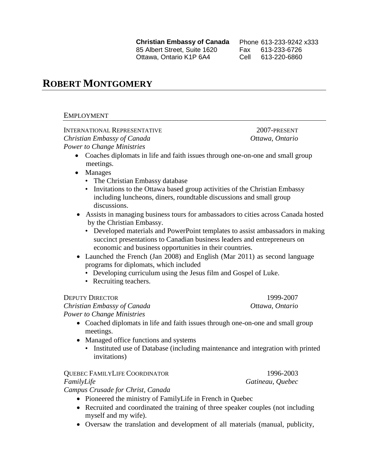**Christian Embassy of Canada** 85 Albert Street, Suite 1620 Ottawa, Ontario K1P 6A4

Phone 613-233-9242 x333 Fax 613-233-6726 Cell 613-220-6860

# **ROBERT MONTGOMERY**

## EMPLOYMENT

INTERNATIONAL REPRESENTATIVE 2007-PRESENT *Christian Embassy of Canada Ottawa, Ontario Power to Change Ministries*

- Coaches diplomats in life and faith issues through one-on-one and small group meetings.
- Manages
	- The Christian Embassy database
	- Invitations to the Ottawa based group activities of the Christian Embassy including luncheons, diners, roundtable discussions and small group discussions.
- Assists in managing business tours for ambassadors to cities across Canada hosted by the Christian Embassy.
	- Developed materials and PowerPoint templates to assist ambassadors in making succinct presentations to Canadian business leaders and entrepreneurs on economic and business opportunities in their countries.
- Launched the French (Jan 2008) and English (Mar 2011) as second language programs for diplomats, which included
	- Developing curriculum using the Jesus film and Gospel of Luke.
	- Recruiting teachers.

DEPUTY DIRECTOR 1999-2007

*Christian Embassy of Canada Ottawa, Ontario Power to Change Ministries*

- Coached diplomats in life and faith issues through one-on-one and small group meetings.
- Managed office functions and systems
	- Instituted use of Database (including maintenance and integration with printed invitations)

## QUEBEC FAMILYLIFE COORDINATOR 1996-2003 *FamilyLife Gatineau, Quebec*

*Campus Crusade for Christ, Canada*

- Pioneered the ministry of FamilyLife in French in Quebec
- Recruited and coordinated the training of three speaker couples (not including myself and my wife).
- Oversaw the translation and development of all materials (manual, publicity,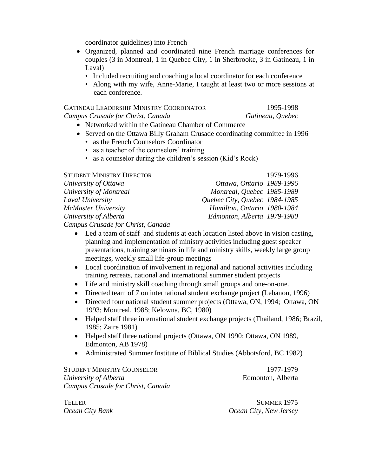coordinator guidelines) into French

- Organized, planned and coordinated nine French marriage conferences for couples (3 in Montreal, 1 in Quebec City, 1 in Sherbrooke, 3 in Gatineau, 1 in Laval)
	- Included recruiting and coaching a local coordinator for each conference
	- Along with my wife, Anne-Marie, I taught at least two or more sessions at each conference.

| <b>GATINEAU LEADERSHIP MINISTRY COORDINATOR</b> | 1995-1998        |
|-------------------------------------------------|------------------|
| Campus Crusade for Christ, Canada               | Gatineau, Quebec |

- Networked within the Gatineau Chamber of Commerce
- Served on the Ottawa Billy Graham Crusade coordinating committee in 1996
	- as the French Counselors Coordinator
	- as a teacher of the counselors' training
	- as a counselor during the children's session (Kid's Rock)

## STUDENT MINISTRY DIRECTOR 1979-1996

| University of Ottawa              | Ottawa, Ontario 1989-1996     |
|-----------------------------------|-------------------------------|
| University of Montreal            | Montreal, Quebec 1985-1989    |
| Laval University                  | Quebec City, Quebec 1984-1985 |
| McMaster University               | Hamilton, Ontario 1980-1984   |
| University of Alberta             | Edmonton, Alberta 1979-1980   |
| Campus Crusado for Christ, Canada |                               |

*Campus Crusade for Christ, Canada*

- Led a team of staff and students at each location listed above in vision casting, planning and implementation of ministry activities including guest speaker presentations, training seminars in life and ministry skills, weekly large group meetings, weekly small life-group meetings
- Local coordination of involvement in regional and national activities including training retreats, national and international summer student projects
- Life and ministry skill coaching through small groups and one-on-one.
- Directed team of 7 on international student exchange project (Lebanon, 1996)
- Directed four national student summer projects (Ottawa, ON, 1994; Ottawa, ON 1993; Montreal, 1988; Kelowna, BC, 1980)
- Helped staff three international student exchange projects (Thailand, 1986; Brazil, 1985; Zaire 1981)
- Helped staff three national projects (Ottawa, ON 1990; Ottawa, ON 1989, Edmonton, AB 1978)
- Administrated Summer Institute of Biblical Studies (Abbotsford, BC 1982)

STUDENT MINISTRY COUNSELOR 1977-1979 *University of Alberta* **Edmonton**, Alberta *Campus Crusade for Christ, Canada*

TELLER SUMMER 1975 *Ocean City Bank Ocean City, New Jersey*